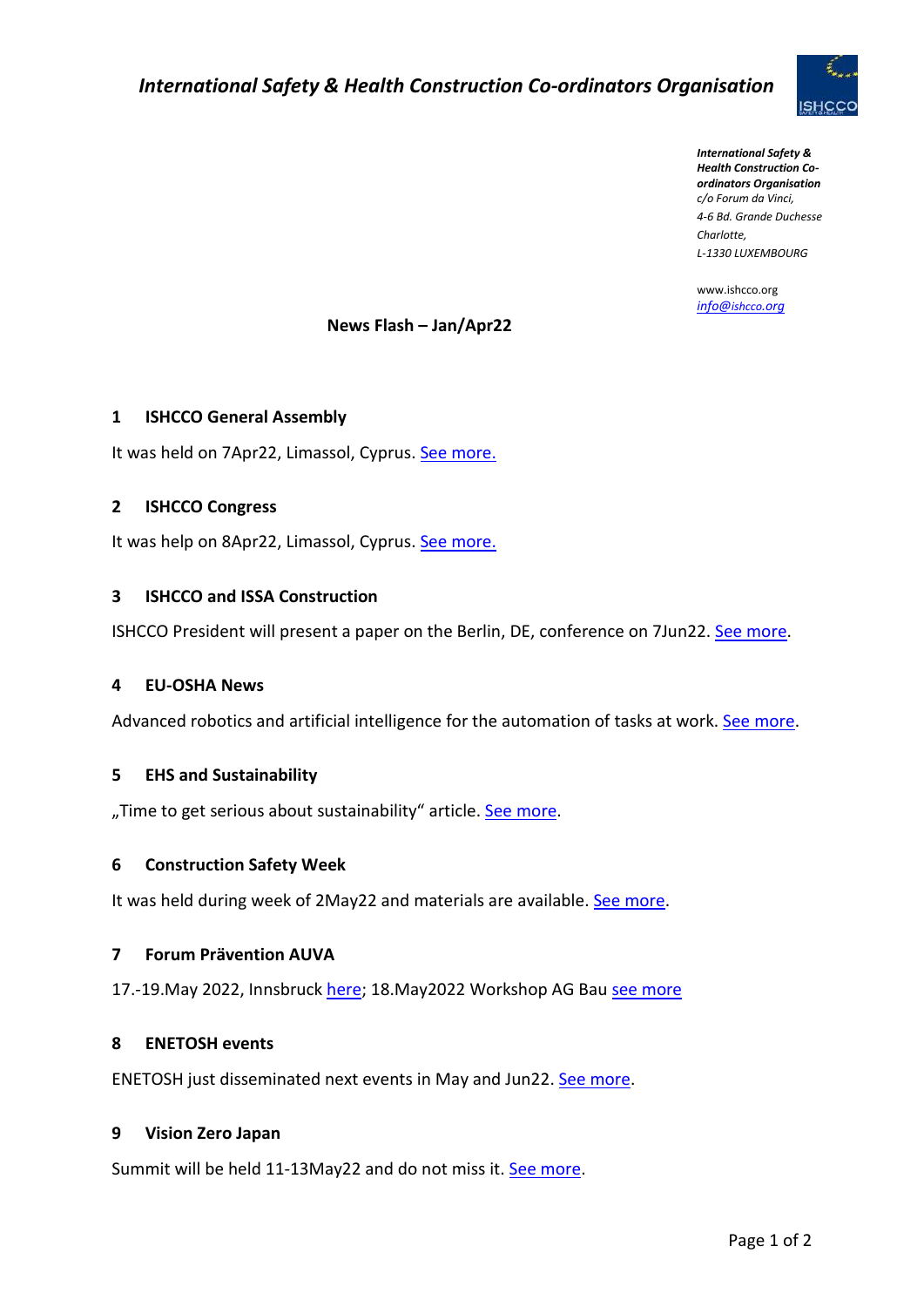

*International Safety & Health Construction Coordinators Organisation c/o Forum da Vinci, 4-6 Bd. Grande Duchesse Charlotte, L-1330 LUXEMBOURG*

www.ishcco.org *[info@](mailto:info@ishcco.org)ishcco.org*

## **News Flash – Jan/Apr22**

### **1 ISHCCO General Assembly**

It was held on 7Apr22, Limassol, Cyprus[. See more.](https://drive.google.com/file/d/1Q8qVxdvQfVEV8lHU9dIEVyFyIlFih9AW/view?usp=sharing)

### **2 ISHCCO Congress**

It was help on 8Apr22, Limassol, Cyprus. See more.

### **3 ISHCCO and ISSA Construction**

ISHCCO President will present a paper on the Berlin, DE, conference on 7Jun22. [See more.](https://ww1.issa.int/events/prevention/construction-symposium-2022)

#### **4 EU-OSHA News**

Advanced robotics and artificial intelligence for the automation of tasks at work. [See more.](https://osha.europa.eu/en/highlights/advanced-robotics-and-artificial-intelligence-automation-tasks-work-current-status-and-considerations-osh)

### **5 EHS and Sustainability**

"Time to get serious about sustainability" article. [See more.](https://www.ehstoday.com/)

#### **6 Construction Safety Week**

It was held during week of 2May22 and materials are available. [See more.](https://www.constructionsafetyweek.com/safety-week-2022/)

#### **7 Forum Prävention AUVA**

17.-19.May 2022, Innsbruck [here;](http://forumpraevention.auva.at/) 18.May2022 Workshop AG Bau [see more](http://forumpraevention.auva.at/ag-bau/)

### **8 ENETOSH events**

ENETOSH just disseminated next events in May and Jun22. [See more.](https://enetosh.net/news.html)

### **9 Vision Zero Japan**

Summit will be held 11-13May22 and do not miss it. [See more.](https://japan.visionzerosummits.com/)